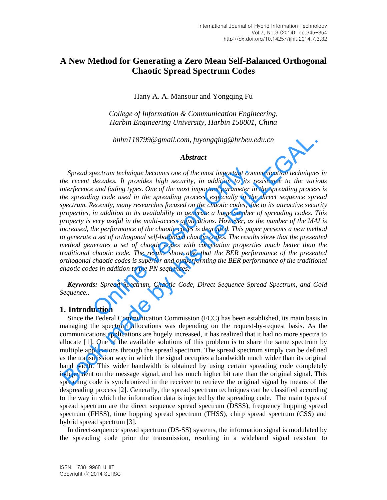# **A New Method for Generating a Zero Mean Self-Balanced Orthogonal Chaotic Spread Spectrum Codes**

Hany A. A. Mansour and Yongqing Fu

*College of Information & Communication Engineering, Harbin Engineering University, Harbin 150001, China* 

*hnhn118799@gmail.com, fuyongqing@hrbeu.edu.cn* 

## *Abstract*

*Spread spectrum technique becomes one of the most important communication techniques in the recent decades. It provides high security, in addition to its resistance to the various interference and fading types. One of the most important parameter in the spreading process is the spreading code used in the spreading process, especially in the direct sequence spread spectrum. Recently, many researches focused on the chaotic codes, due to its attractive security properties, in addition to its availability to generate a huge number of spreading codes. This property is very useful in the multi-access applications. However, as the number of the MAI is increased, the performance of the chaotic codes is degraded. This paper presents a new method to generate a set of orthogonal self-balanced chaotic codes. The results show that the presented method generates a set of chaotic codes with correlation properties much better than the traditional chaotic code. The results show also that the BER performance of the presented orthogonal chaotic codes is superior and outperforming the BER performance of the traditional chaotic codes in addition to the PN sequences.*  pectrum technique becomes one of the most important com<br>decades. It provides high security, in addition to its r<br>e and fading types. One of the most important parameter in<br>ing code used in the spreading process, especially Inhnl 18799@gmail.com, fivongajng@hrbeu.edu.cn<br> **Abstract**<br> **Abstract**<br>
Spread spectrum technique becomes one of the most important communication technique<br>
he recent decades. It provides high security, in addition to its

*Keywords: Spread Spectrum, Chaotic Code, Direct Sequence Spread Spectrum, and Gold Sequence..* 

### **1. Introduction**

Since the Federal Communication Commission (FCC) has been established, its main basis in managing the spectrum allocations was depending on the request-by-request basis. As the communications applications are hugely increased, it has realized that it had no more spectra to allocate [1]. One of the available solutions of this problem is to share the same spectrum by multiple applications through the spread spectrum. The spread spectrum simply can be defined as the transmission way in which the signal occupies a bandwidth much wider than its original band width. This wider bandwidth is obtained by using certain spreading code completely independent on the message signal, and has much higher bit rate than the original signal. This spreading code is synchronized in the receiver to retrieve the original signal by means of the despreading process [2]. Generally, the spread spectrum techniques can be classified according to the way in which the information data is injected by the spreading code. The main types of spread spectrum are the direct sequence spread spectrum (DSSS), frequency hopping spread spectrum (FHSS), time hopping spread spectrum (THSS), chirp spread spectrum (CSS) and hybrid spread spectrum [3].

In direct-sequence spread spectrum (DS-SS) systems, the information signal is modulated by the spreading code prior the transmission, resulting in a wideband signal resistant to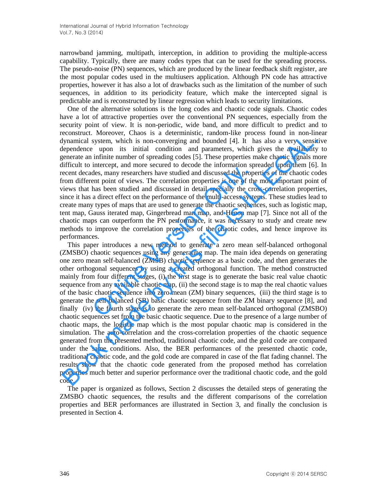narrowband jamming, multipath, interception, in addition to providing the multiple-access capability. Typically, there are many codes types that can be used for the spreading process. The pseudo-noise (PN) sequences, which are produced by the linear feedback shift register, are the most popular codes used in the multiusers application. Although PN code has attractive properties, however it has also a lot of drawbacks such as the limitation of the number of such sequences, in addition to its periodicity feature, which make the intercepted signal is predictable and is reconstructed by linear regression which leads to security limitations.

One of the alternative solutions is the long codes and chaotic code signals. Chaotic codes have a lot of attractive properties over the conventional PN sequences, especially from the security point of view. It is non-periodic, wide band, and more difficult to predict and to reconstruct. Moreover, Chaos is a deterministic, random-like process found in non-linear dynamical system, which is non-converging and bounded [4]. It has also a very sensitive dependence upon its initial condition and parameters, which gives the availability to generate an infinite number of spreading codes [5]. These properties make chaotic signals more difficult to intercept, and more secured to decode the information spreaded upon them [6]. In recent decades, many researchers have studied and discussed the properties of the chaotic codes from different point of views. The correlation properties is one of the most important point of views that has been studied and discussed in detail specially the cross-correlation properties, since it has a direct effect on the performance of the multi-access systems. These studies lead to create many types of maps that are used to generate the chaotic sequences, such as logistic map, tent map, Gauss iterated map, Gingerbread man map, and Henon map [7]. Since not all of the chaotic maps can outperform the PN performance, it was necessary to study and create new methods to improve the correlation properties of the chaotic codes, and hence improve its performances.

This paper introduces a new method to generate a zero mean self-balanced orthogonal (ZMSBO) chaotic sequences using any generating map. The main idea depends on generating one zero mean self-balanced (ZMSB) chaotic sequence as a basic code, and then generates the other orthogonal sequences by using a created orthogonal function. The method constructed mainly from four different stages, (i) the first stage is to generate the basic real value chaotic sequence from any available chaotic map, (ii) the second stage is to map the real chaotic values of the basic chaotic sequence into zero mean (ZM) binary sequences, (iii) the third stage is to generate the self-balanced (SB) basic chaotic sequence from the ZM binary sequence [8], and finally (iv) the fourth stage is to generate the zero mean self-balanced orthogonal (ZMSBO) chaotic sequences set from the basic chaotic sequence. Due to the presence of a large number of chaotic maps, the logistic map which is the most popular chaotic map is considered in the simulation. The auto-correlation and the cross-correlation properties of the chaotic sequence generated from the presented method, traditional chaotic code, and the gold code are compared under the same conditions. Also, the BER performances of the presented chaotic code, traditional chaotic code, and the gold code are compared in case of the flat fading channel. The results show that the chaotic code generated from the proposed method has correlation properties much better and superior performance over the traditional chaotic code, and the gold code. metrically, and more secure to decise and methanical methanon space.<br>Hes, many researchers have studied and discussed the propertition properties is one of the has been studied and discussed in detail specially the cro a d External the mother than is in distinguing the monitority change process odual in non-<br>the proparatical system, which is non-converging and bounded [4]. It has also a very sensitive<br>preparate upon its initial condition and

The paper is organized as follows, Section 2 discusses the detailed steps of generating the ZMSBO chaotic sequences, the results and the different comparisons of the correlation properties and BER performances are illustrated in Section 3, and finally the conclusion is presented in Section 4.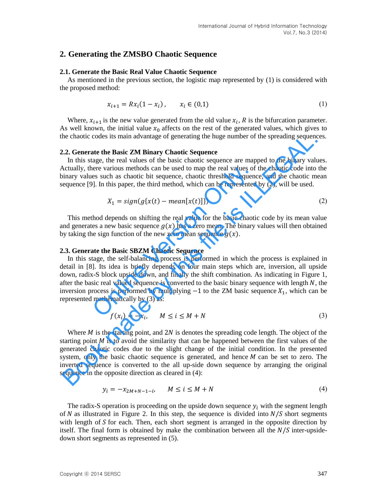## **2. Generating the ZMSBO Chaotic Sequence**

### **2.1. Generate the Basic Real Value Chaotic Sequence**

As mentioned in the previous section, the logistic map represented by (1) is considered with the proposed method:

$$
x_{i+1} = Rx_i(1 - x_i), \qquad x_i \in (0,1) \tag{1}
$$

Where,  $x_{i+1}$  is the new value generated from the old value  $x_i$ , R is the bifurcation parameter. As well known, the initial value  $x_0$  affects on the rest of the generated values, which gives to the chaotic codes its main advantage of generating the huge number of the spreading sequences.

### **2.2. Generate the Basic ZM Binary Chaotic Sequence**

In this stage, the real values of the basic chaotic sequence are mapped to the binary values. Actually, there various methods can be used to map the real values of the chaotic code into the binary values such as chaotic bit sequence, chaotic threshold sequence, and the chaotic mean sequence [9]. In this paper, the third method, which can be represented by (2), will be used.

$$
X_1 = sign(g\{x(t) - mean[x(t)]\})
$$
\n(2)

This method depends on shifting the real value for the basic chaotic code by its mean value and generates a new basic sequence  $g(x)$  has a zero mean. The binary values will then obtained by taking the sign function of the new zero mean sequence  $g(x)$ .

#### **2.3. Generate the Basic SBZM Chaotic Sequence**

In this stage, the self-balancing process is performed in which the process is explained in detail in [8]. Its idea is briefly depends on four main steps which are, inversion, all upside down, radix-S block upside down, and finally the shift combination. As indicating in Figure 1, after the basic real valued sequence is converted to the basic binary sequence with length  $N$ , the inversion process is performed by multiplying  $-1$  to the ZM basic sequence  $X_1$ , which can be represented mathematically by (3) as: here various methods can be used to map the real values of<br>es such as chaotic bit sequence, chaotic threshold sequence<br>J. In this paper, the third method, which can be represented<br> $X_1 = sign(g\{x(t) - mean[x(t)]\})$ <br>thod depends on shif the chaotic codes its main advantage of generating the huge number of the spreading sequence 1.1 In this stage, the real valuas of the basic chaotic sequence are mapped to the binary whates the basic chaotic sequence are

$$
f(x_i) = -x_i, \qquad M \le i \le M + N \tag{3}
$$

Where  $M$  is the starting point, and  $2N$  is denotes the spreading code length. The object of the starting point  $M$  is to avoid the similarity that can be happened between the first values of the generated chaotic codes due to the slight change of the initial condition. In the presented system, only the basic chaotic sequence is generated, and hence  $M$  can be set to zero. The inverted sequence is converted to the all up-side down sequence by arranging the original sequence in the opposite direction as cleared in (4):

$$
y_i = -x_{2M+N-1-i}, \qquad M \le i \le M+N \tag{4}
$$

The radix-S operation is proceeding on the upside down sequence  $y_i$  with the segment length of  $N$  as illustrated in Figure 2. In this step, the sequence is divided into  $N/S$  short segments with length of  $S$  for each. Then, each short segment is arranged in the opposite direction by itself. The final form is obtained by make the combination between all the  $N/S$  inter-upsidedown short segments as represented in (5).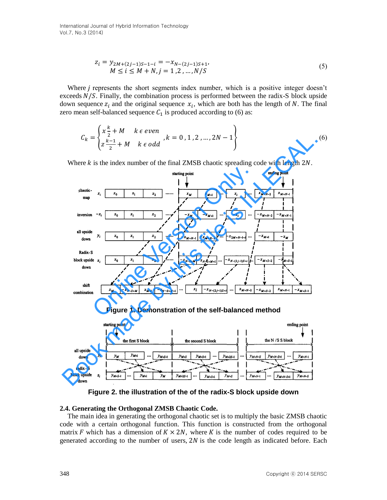International Journal of Hybrid Information Technology Vol.7, No.3 (2014)

$$
z_i = y_{2M+(2j-1)S-1-i} = -x_{N-(2j-1)S+1},
$$
  
\n
$$
M \le i \le M + N, j = 1, 2, ..., N/S
$$
\n(5)

Where  $\dot{i}$  represents the short segments index number, which is a positive integer doesn't exceeds  $N/S$ . Finally, the combination process is performed between the radix-S block upside down sequence  $z_i$  and the original sequence  $x_i$ , which are both has the length of N. The final zero mean self-balanced sequence  $C_1$  is produced according to (6) as:

$$
C_k = \begin{cases} x \frac{k}{2} + M & k \in even \\ z \frac{k-1}{2} + M & k \in odd \end{cases}, k = 0, 1, 2, ..., 2N - 1 \}
$$
 (6)

Where  $k$  is the index number of the final ZMSB chaotic spreading code with length  $2N$ .



**Figure 1. Demonstration of the self-balanced method** 



**Figure 2. the illustration of the of the radix-S block upside down** 

### **2.4. Generating the Orthogonal ZMSB Chaotic Code.**

The main idea in generating the orthogonal chaotic set is to multiply the basic ZMSB chaotic code with a certain orthogonal function. This function is constructed from the orthogonal matrix F which has a dimension of  $K \times 2N$ , where K is the number of codes required to be generated according to the number of users,  $2N$  is the code length as indicated before. Each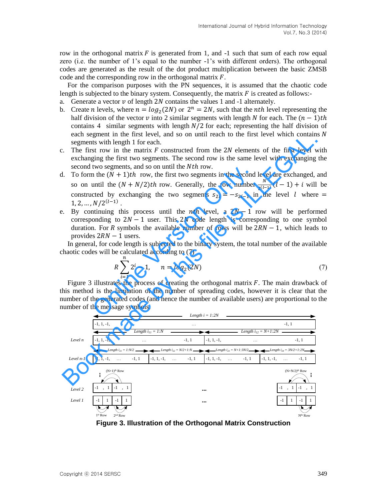row in the orthogonal matrix  $F$  is generated from 1, and  $-1$  such that sum of each row equal zero (i.e. the number of 1's equal to the number -1's with different orders). The orthogonal codes are generated as the result of the dot product multiplication between the basic ZMSB code and the corresponding row in the orthogonal matrix  $F$ .

For the comparison purposes with the PN sequences, it is assumed that the chaotic code length is subjected to the binary system. Consequently, the matrix  $F$  is created as follows:-

a. Generate a vector  $\nu$  of length 2N contains the values 1 and -1 alternately.

- b. Create *n* levels, where  $n = log_2(2N)$  or  $2^n = 2N$ , such that the *nth* level representing the half division of the vector  $v$  into 2 similar segments with length N for each. The  $(n - 1)$ th contains 4 similar segments with length  $N/2$  for each; representing the half division of each segment in the first level, and so on until reach to the first level which contains  $N$ segments with length 1 for each.
- c. The first row in the matrix  $F$  constructed from the 2N elements of the first level with exchanging the first two segments. The second row is the same level with exchanging the second two segments, and so on until the *Nth* row.
- d. To form the  $(N + 1)$ th row, the first two segments in the second level are exchanged, and so on until the  $(N + N/2)$ th row. Generally, the row number  $\frac{N}{2^{(l-1)}}(l-1) + i$  will be constructed by exchanging the two segments  $s_{2i} = -s_{2i-1}$  in the level *l* where =  $1, 2, ..., N / 2^{(l-1)}$ . two segments, and so on until the *Nth* Tow.<br>
a the  $(N + 1)th$  row, the first two segments in the second<br>
until the  $(N + N/2)th$  row. Generally, the row number<br>
cted by exchanging the two segments  $s_{2i} = -s_{2i-1}$  in<br>  $N/2^{(1-$
- e. By continuing this process until the *nth* level, a  $2N 1$  row will be performed corresponding to  $2N - 1$  user. This 2N code length is corresponding to one symbol duration. For R symbols the available number of rows will be  $2RN - 1$ , which leads to provides  $2RN - 1$  users.

In general, for code length is subjected to the binary system, the total number of the available chaotic codes will be calculated according to (7)

$$
R\sum_{i=1}^{n} 2^{i} - 1, \quad n = \log_2(2N) \tag{7}
$$

Figure 3 illustrates the process of creating the orthogonal matrix  $F$ . The main drawback of this method is the limitation of the number of spreading codes, however it is clear that the number of the generated codes (and hence the number of available users) are proportional to the number of the message symbols.



**Figure 3. Illustration of the Orthogonal Matrix Construction**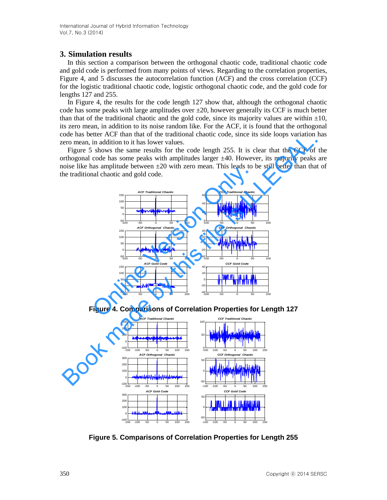## **3. Simulation results**

In this section a comparison between the orthogonal chaotic code, traditional chaotic code and gold code is performed from many points of views. Regarding to the correlation properties, Figure 4, and 5 discusses the autocorrelation function (ACF) and the cross correlation (CCF) for the logistic traditional chaotic code, logistic orthogonal chaotic code, and the gold code for lengths 127 and 255.

In Figure 4, the results for the code length 127 show that, although the orthogonal chaotic code has some peaks with large amplitudes over  $\pm 20$ , however generally its CCF is much better than that of the traditional chaotic and the gold code, since its majority values are within  $\pm 10$ , its zero mean, in addition to its noise random like. For the ACF, it is found that the orthogonal code has better ACF than that of the traditional chaotic code, since its side loops variation has zero mean, in addition to it has lower values.

Figure 5 shows the same results for the code length 255. It is clear that the CCF of the orthogonal code has some peaks with amplitudes larger ±40. However, its majority peaks are noise like has amplitude between  $\pm 20$  with zero mean. This leads to be still better than that of the traditional chaotic and gold code.



**Figure 4. Comparisons of Correlation Properties for Length 127** 



**Figure 5. Comparisons of Correlation Properties for Length 255**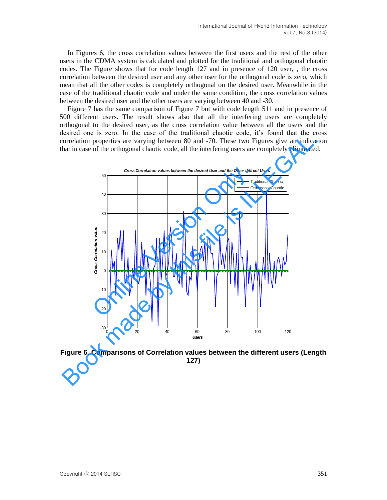In Figures 6, the cross correlation values between the first users and the rest of the other users in the CDMA system is calculated and plotted for the traditional and orthogonal chaotic codes. The Figure shows that for code length 127 and in presence of 120 user, , the cross correlation between the desired user and any other user for the orthogonal code is zero, which mean that all the other codes is completely orthogonal on the desired user. Meanwhile in the case of the traditional chaotic code and under the same condition, the cross correlation values between the desired user and the other users are varying between 40 and -30.

Figure 7 has the same comparison of Figure 7 but with code length 511 and in presence of 500 different users. The result shows also that all the interfering users are completely orthogonal to the desired user, as the cross correlation value between all the users and the desired one is zero. In the case of the traditional chaotic code, it's found that the cross correlation properties are varying between 80 and -70. These two Figures give an indication that in case of the orthogonal chaotic code, all the interfering users are completely eliminated.



**Figure 6. Comparisons of Correlation values between the different users (Length 127)**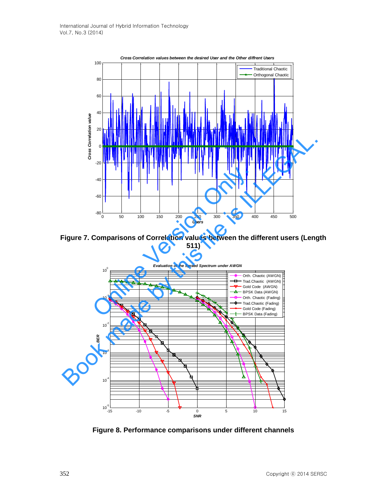

**Figure 7. Comparisons of Correlation values between the different users (Length 511)**



**Figure 8. Performance comparisons under different channels**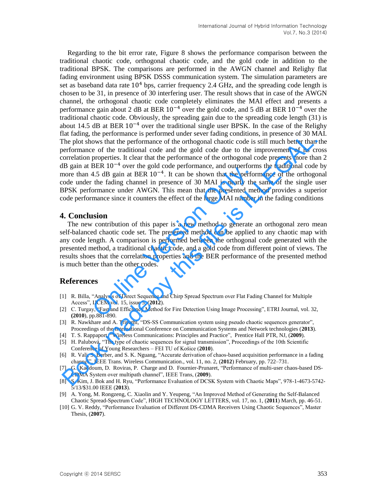Regarding to the bit error rate, Figure 8 shows the performance comparison between the traditional chaotic code, orthogonal chaotic code, and the gold code in addition to the traditional BPSK. The comparisons are performed in the AWGN channel and Relighy flat fading environment using BPSK DSSS communication system. The simulation parameters are set as baseband data rate  $10<sup>4</sup>$  bps, carrier frequency 2.4 GHz, and the spreading code length is chosen to be 31, in presence of 30 interfering user. The result shows that in case of the AWGN channel, the orthogonal chaotic code completely eliminates the MAI effect and presents a performance gain about 2 dB at BER  $10^{-4}$  over the gold code, and 5 dB at BER  $10^{-4}$  over the traditional chaotic code. Obviously, the spreading gain due to the spreading code length (31) is about 14.5 dB at BER  $10^{-4}$  over the traditional single user BPSK. In the case of the Relighy flat fading, the performance is performed under sever fading conditions, in presence of 30 MAI. The plot shows that the performance of the orthogonal chaotic code is still much better than the performance of the traditional code and the gold code due to the improvement of its cross correlation properties. It clear that the performance of the orthogonal code presents more than 2 dB gain at BER  $10^{-4}$  over the gold code performance, and outperforms the traditional code by more than 4.5 dB gain at BER  $10^{-4}$ . It can be shown that the performance of the orthogonal code under the fading channel in presence of 30 MAI is nearly the same of the single user BPSK performance under AWGN. This mean that the presented method provides a superior code performance since it counters the effect of the large MAI number in the fading conditions iat taking, the Performance of the trading channel betwer iasing to induced in the Section of the splot shows that the performance of the orthogonal chaotic code is still much better than correlation properties. It clear t

## **4. Conclusion**

The new contribution of this paper is a new method to generate an orthogonal zero mean self-balanced chaotic code set. The presented method can be applied to any chaotic map with any code length. A comparison is performed between the orthogonal code generated with the presented method, a traditional chaotic code, and a gold code from different point of views. The results shoes that the correlation properties and the BER performance of the presented method is much better than the other codes. 4.5 dB gain at BER  $10^{-4}$ . It can be shown that the perform<br>the fading channel in presence of 30 MAI is nearly the<br>mance under AWGN. This mean that the perform<br>mance since it counters the effect of the large MAI number<br>

## **References**

- [1] R. Billa, "Analysis of Direct Sequence and Chirp Spread Spectrum over Flat Fading Channel for Multiple Access", IJCEM vol. 15, issue 5, (**2012**).
- [2] C. Turgay, "Fast and Efficiency Method for Fire Detection Using Image Processing", ETRI Journal, vol. 32, **(2010**), pp.881-890.
- [3] R. Nawkhare and A. Tripathi, "DS-SS Communication system using pseudo chaotic sequences generator", Proceedings of the International Conference on Communication Systems and Network technologies (**2013**).
- [4] T. S. Rappaport, "Wireless Communications: Principles and Practice", Prentice Hall PTR, NJ, (**2009**).
- [5] H. Palubová, "The type of chaotic sequences for signal transmission", Proceedings of the 10th Scientific Conference of Young Researchers – FEI TU of Košice (**2010**).
- [6] R. Vali, S. Berber, and S. K. Nguang, "Accurate derivation of chaos-based acquisition performance in a fading channel", IEEE Trans. Wireless Communication., vol. 11, no. 2, (**2012**) February, pp. 722–731.
- [7] G. Kaddoum, D. Roviras, P. Charge and D. Fournier-Prunaret, "Performance of multi-user chaos-based DS-CDMA System over multipath channel", IEEE Trans, (**2009**).
- [8] S. Kim, J. Bok and H. Ryu, "Performance Evaluation of DCSK System with Chaotic Maps", 978-1-4673-5742- 5/13/\$31.00 IEEE (**2013**).
- [9] A. Yong, M. Rongzeng, C. Xiaolin and Y. Yeupeng, "An Improved Method of Generating the Self-Balanced Chaotic Spread-Spectrum Code", HIGH TECHNOLOGY LETTERS, vol. 17, no. 1, (**2011**) March, pp. 46-51.
- [10] G. V. Reddy, "Performance Evaluation of Different DS-CDMA Receivers Using Chaotic Sequences", Master Thesis, (**2007**).